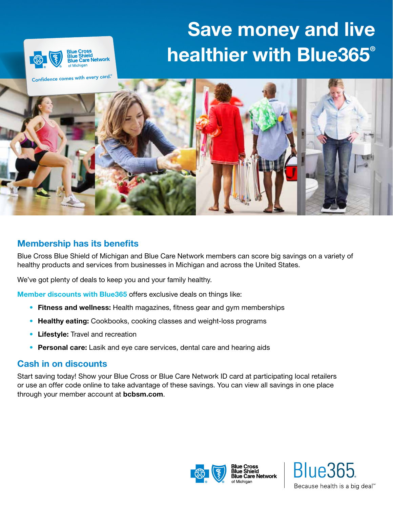# Save money and live healthier with Blue365®



Confidence comes with every card. ®



## Membership has its benefits

Blue Cross Blue Shield of Michigan and Blue Care Network members can score big savings on a variety of healthy products and services from businesses in Michigan and across the United States.

We've got plenty of deals to keep you and your family healthy.

Member discounts with Blue365 offers exclusive deals on things like:

- Fitness and wellness: Health magazines, fitness gear and gym memberships
- Healthy eating: Cookbooks, cooking classes and weight-loss programs
- Lifestyle: Travel and recreation
- Personal care: Lasik and eye care services, dental care and hearing aids

### Cash in on discounts

Start saving today! Show your Blue Cross or Blue Care Network ID card at participating local retailers or use an offer code online to take advantage of these savings. You can view all savings in one place through your member account at bcbsm.com.



**Blue365** Because health is a big deal<sup>™</sup>